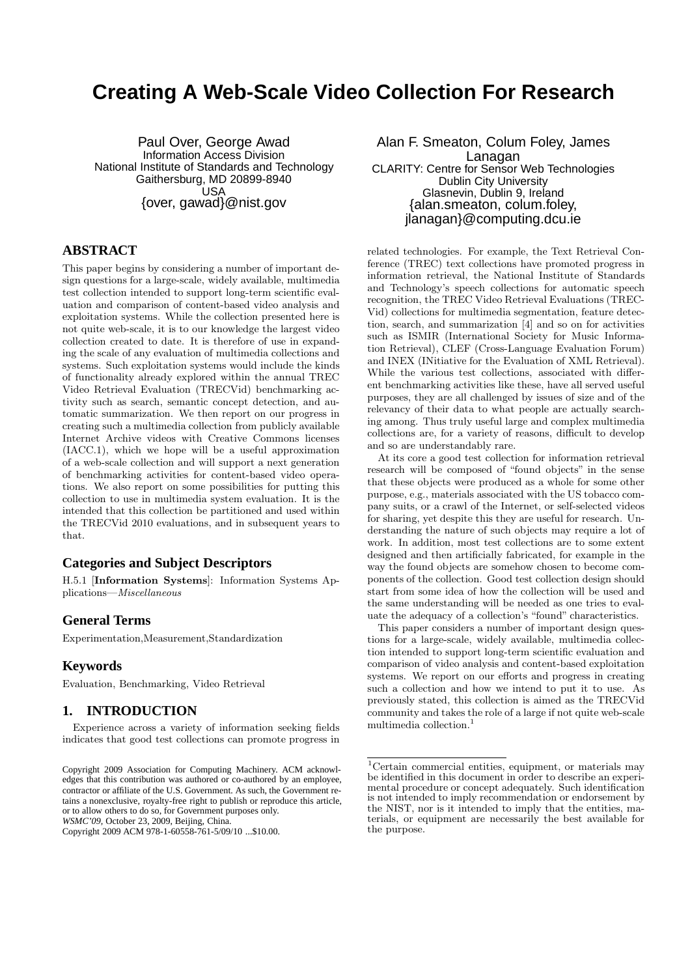# **Creating A Web-Scale Video Collection For Research**

Paul Over, George Awad Information Access Division National Institute of Standards and Technology Gaithersburg, MD 20899-8940 USA {over, gawad}@nist.gov

# **ABSTRACT**

This paper begins by considering a number of important design questions for a large-scale, widely available, multimedia test collection intended to support long-term scientific evaluation and comparison of content-based video analysis and exploitation systems. While the collection presented here is not quite web-scale, it is to our knowledge the largest video collection created to date. It is therefore of use in expanding the scale of any evaluation of multimedia collections and systems. Such exploitation systems would include the kinds of functionality already explored within the annual TREC Video Retrieval Evaluation (TRECVid) benchmarking activity such as search, semantic concept detection, and automatic summarization. We then report on our progress in creating such a multimedia collection from publicly available Internet Archive videos with Creative Commons licenses (IACC.1), which we hope will be a useful approximation of a web-scale collection and will support a next generation of benchmarking activities for content-based video operations. We also report on some possibilities for putting this collection to use in multimedia system evaluation. It is the intended that this collection be partitioned and used within the TRECVid 2010 evaluations, and in subsequent years to that.

### **Categories and Subject Descriptors**

H.5.1 [**Information Systems**]: Information Systems Applications—Miscellaneous

### **General Terms**

Experimentation,Measurement,Standardization

### **Keywords**

Evaluation, Benchmarking, Video Retrieval

### **1. INTRODUCTION**

Experience across a variety of information seeking fields indicates that good test collections can promote progress in

*WSMC'09,* October 23, 2009, Beijing, China.

Alan F. Smeaton, Colum Foley, James Lanagan CLARITY: Centre for Sensor Web Technologies Dublin City University Glasnevin, Dublin 9, Ireland {alan.smeaton, colum.foley, jlanagan}@computing.dcu.ie

related technologies. For example, the Text Retrieval Conference (TREC) text collections have promoted progress in information retrieval, the National Institute of Standards and Technology's speech collections for automatic speech recognition, the TREC Video Retrieval Evaluations (TREC-Vid) collections for multimedia segmentation, feature detection, search, and summarization [4] and so on for activities such as ISMIR (International Society for Music Information Retrieval), CLEF (Cross-Language Evaluation Forum) and INEX (INitiative for the Evaluation of XML Retrieval). While the various test collections, associated with different benchmarking activities like these, have all served useful purposes, they are all challenged by issues of size and of the relevancy of their data to what people are actually searching among. Thus truly useful large and complex multimedia collections are, for a variety of reasons, difficult to develop and so are understandably rare.

At its core a good test collection for information retrieval research will be composed of "found objects" in the sense that these objects were produced as a whole for some other purpose, e.g., materials associated with the US tobacco company suits, or a crawl of the Internet, or self-selected videos for sharing, yet despite this they are useful for research. Understanding the nature of such objects may require a lot of work. In addition, most test collections are to some extent designed and then artificially fabricated, for example in the way the found objects are somehow chosen to become components of the collection. Good test collection design should start from some idea of how the collection will be used and the same understanding will be needed as one tries to evaluate the adequacy of a collection's "found" characteristics.

This paper considers a number of important design questions for a large-scale, widely available, multimedia collection intended to support long-term scientific evaluation and comparison of video analysis and content-based exploitation systems. We report on our efforts and progress in creating such a collection and how we intend to put it to use. As previously stated, this collection is aimed as the TRECVid community and takes the role of a large if not quite web-scale multimedia collection.<sup>1</sup>

Copyright 2009 Association for Computing Machinery. ACM acknowledges that this contribution was authored or co-authored by an employee, contractor or affiliate of the U.S. Government. As such, the Government retains a nonexclusive, royalty-free right to publish or reproduce this article, or to allow others to do so, for Government purposes only.

Copyright 2009 ACM 978-1-60558-761-5/09/10 ...\$10.00.

<sup>1</sup>Certain commercial entities, equipment, or materials may be identified in this document in order to describe an experimental procedure or concept adequately. Such identification is not intended to imply recommendation or endorsement by the NIST, nor is it intended to imply that the entities, materials, or equipment are necessarily the best available for the purpose.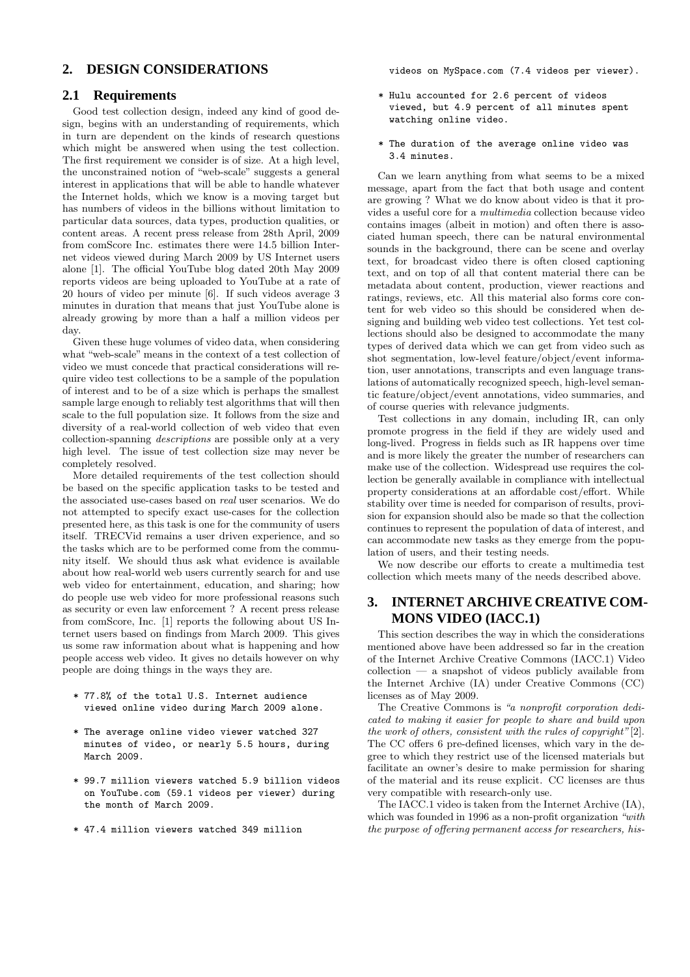# **2. DESIGN CONSIDERATIONS**

### **2.1 Requirements**

Good test collection design, indeed any kind of good design, begins with an understanding of requirements, which in turn are dependent on the kinds of research questions which might be answered when using the test collection. The first requirement we consider is of size. At a high level, the unconstrained notion of "web-scale" suggests a general interest in applications that will be able to handle whatever the Internet holds, which we know is a moving target but has numbers of videos in the billions without limitation to particular data sources, data types, production qualities, or content areas. A recent press release from 28th April, 2009 from comScore Inc. estimates there were 14.5 billion Internet videos viewed during March 2009 by US Internet users alone [1]. The official YouTube blog dated 20th May 2009 reports videos are being uploaded to YouTube at a rate of 20 hours of video per minute [6]. If such videos average 3 minutes in duration that means that just YouTube alone is already growing by more than a half a million videos per day.

Given these huge volumes of video data, when considering what "web-scale" means in the context of a test collection of video we must concede that practical considerations will require video test collections to be a sample of the population of interest and to be of a size which is perhaps the smallest sample large enough to reliably test algorithms that will then scale to the full population size. It follows from the size and diversity of a real-world collection of web video that even collection-spanning descriptions are possible only at a very high level. The issue of test collection size may never be completely resolved.

More detailed requirements of the test collection should be based on the specific application tasks to be tested and the associated use-cases based on real user scenarios. We do not attempted to specify exact use-cases for the collection presented here, as this task is one for the community of users itself. TRECVid remains a user driven experience, and so the tasks which are to be performed come from the community itself. We should thus ask what evidence is available about how real-world web users currently search for and use web video for entertainment, education, and sharing; how do people use web video for more professional reasons such as security or even law enforcement ? A recent press release from comScore, Inc. [1] reports the following about US Internet users based on findings from March 2009. This gives us some raw information about what is happening and how people access web video. It gives no details however on why people are doing things in the ways they are.

- \* 77.8% of the total U.S. Internet audience viewed online video during March 2009 alone.
- \* The average online video viewer watched 327 minutes of video, or nearly 5.5 hours, during March 2009.
- \* 99.7 million viewers watched 5.9 billion videos on YouTube.com (59.1 videos per viewer) during the month of March 2009.
- \* 47.4 million viewers watched 349 million

videos on MySpace.com (7.4 videos per viewer).

- \* Hulu accounted for 2.6 percent of videos viewed, but 4.9 percent of all minutes spent watching online video.
- \* The duration of the average online video was 3.4 minutes.

Can we learn anything from what seems to be a mixed message, apart from the fact that both usage and content are growing ? What we do know about video is that it provides a useful core for a multimedia collection because video contains images (albeit in motion) and often there is associated human speech, there can be natural environmental sounds in the background, there can be scene and overlay text, for broadcast video there is often closed captioning text, and on top of all that content material there can be metadata about content, production, viewer reactions and ratings, reviews, etc. All this material also forms core content for web video so this should be considered when designing and building web video test collections. Yet test collections should also be designed to accommodate the many types of derived data which we can get from video such as shot segmentation, low-level feature/object/event information, user annotations, transcripts and even language translations of automatically recognized speech, high-level semantic feature/object/event annotations, video summaries, and of course queries with relevance judgments.

Test collections in any domain, including IR, can only promote progress in the field if they are widely used and long-lived. Progress in fields such as IR happens over time and is more likely the greater the number of researchers can make use of the collection. Widespread use requires the collection be generally available in compliance with intellectual property considerations at an affordable cost/effort. While stability over time is needed for comparison of results, provision for expansion should also be made so that the collection continues to represent the population of data of interest, and can accommodate new tasks as they emerge from the population of users, and their testing needs.

We now describe our efforts to create a multimedia test collection which meets many of the needs described above.

# **3. INTERNET ARCHIVE CREATIVE COM-MONS VIDEO (IACC.1)**

This section describes the way in which the considerations mentioned above have been addressed so far in the creation of the Internet Archive Creative Commons (IACC.1) Video collection — a snapshot of videos publicly available from the Internet Archive (IA) under Creative Commons (CC) licenses as of May 2009.

The Creative Commons is "a nonprofit corporation dedicated to making it easier for people to share and build upon the work of others, consistent with the rules of copyright" [2]. The CC offers 6 pre-defined licenses, which vary in the degree to which they restrict use of the licensed materials but facilitate an owner's desire to make permission for sharing of the material and its reuse explicit. CC licenses are thus very compatible with research-only use.

The IACC.1 video is taken from the Internet Archive (IA), which was founded in 1996 as a non-profit organization "with the purpose of offering permanent access for researchers, his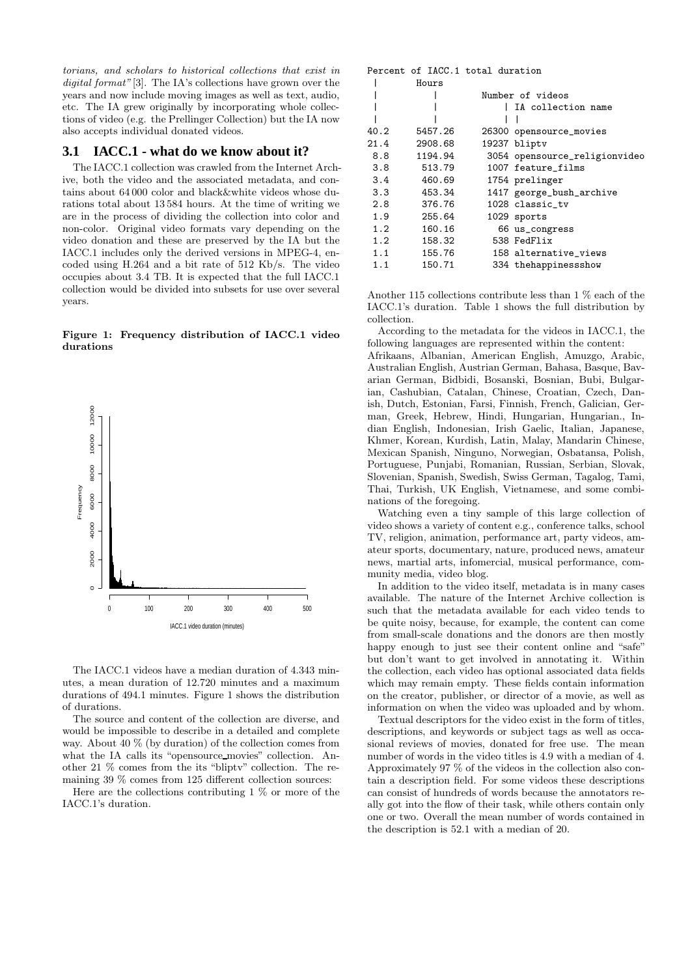torians, and scholars to historical collections that exist in digital format" [3]. The IA's collections have grown over the years and now include moving images as well as text, audio, etc. The IA grew originally by incorporating whole collections of video (e.g. the Prellinger Collection) but the IA now also accepts individual donated videos.

#### **3.1 IACC.1 - what do we know about it?**

The IACC.1 collection was crawled from the Internet Archive, both the video and the associated metadata, and contains about 64 000 color and black&white videos whose durations total about 13 584 hours. At the time of writing we are in the process of dividing the collection into color and non-color. Original video formats vary depending on the video donation and these are preserved by the IA but the IACC.1 includes only the derived versions in MPEG-4, encoded using H.264 and a bit rate of 512 Kb/s. The video occupies about 3.4 TB. It is expected that the full IACC.1 collection would be divided into subsets for use over several years.

#### **Figure 1: Frequency distribution of IACC.1 video durations**



The IACC.1 videos have a median duration of 4.343 minutes, a mean duration of 12.720 minutes and a maximum durations of 494.1 minutes. Figure 1 shows the distribution of durations.

The source and content of the collection are diverse, and would be impossible to describe in a detailed and complete way. About 40 % (by duration) of the collection comes from what the IA calls its "opensource\_movies" collection. Another 21 % comes from the its "bliptv" collection. The remaining 39 % comes from 125 different collection sources:

Here are the collections contributing 1 % or more of the IACC.1's duration.

|      | Percent of IACC.1 total duration |                               |
|------|----------------------------------|-------------------------------|
|      | Hours                            |                               |
|      |                                  | Number of videos              |
|      |                                  | IA collection name            |
|      |                                  |                               |
| 40.2 | 5457.26                          | 26300 opensource_movies       |
| 21.4 | 2908.68                          | 19237 blipty                  |
| 8.8  | 1194.94                          | 3054 opensource_religionvideo |
| 3.8  | 513.79                           | 1007 feature_films            |
| 3.4  | 460.69                           | 1754 prelinger                |
| 3.3  | 453.34                           | 1417 george_bush_archive      |
| 2.8  | 376.76                           | 1028 classic_tv               |
| 1.9  | 255.64                           | 1029 sports                   |
| 1.2  | 160.16                           | 66 us_congress                |
| 1.2  | 158.32                           | 538 FedFlix                   |
| 1.1  | 155.76                           | 158 alternative_views         |
| 1.1  | 150.71                           | 334 thehappinessshow          |

Another 115 collections contribute less than 1 % each of the IACC.1's duration. Table 1 shows the full distribution by collection.

According to the metadata for the videos in IACC.1, the following languages are represented within the content: Afrikaans, Albanian, American English, Amuzgo, Arabic, Australian English, Austrian German, Bahasa, Basque, Bavarian German, Bidbidi, Bosanski, Bosnian, Bubi, Bulgarian, Cashubian, Catalan, Chinese, Croatian, Czech, Danish, Dutch, Estonian, Farsi, Finnish, French, Galician, German, Greek, Hebrew, Hindi, Hungarian, Hungarian., Indian English, Indonesian, Irish Gaelic, Italian, Japanese, Khmer, Korean, Kurdish, Latin, Malay, Mandarin Chinese, Mexican Spanish, Ninguno, Norwegian, Osbatansa, Polish, Portuguese, Punjabi, Romanian, Russian, Serbian, Slovak, Slovenian, Spanish, Swedish, Swiss German, Tagalog, Tami, Thai, Turkish, UK English, Vietnamese, and some combinations of the foregoing.

Watching even a tiny sample of this large collection of video shows a variety of content e.g., conference talks, school TV, religion, animation, performance art, party videos, amateur sports, documentary, nature, produced news, amateur news, martial arts, infomercial, musical performance, community media, video blog.

In addition to the video itself, metadata is in many cases available. The nature of the Internet Archive collection is such that the metadata available for each video tends to be quite noisy, because, for example, the content can come from small-scale donations and the donors are then mostly happy enough to just see their content online and "safe" but don't want to get involved in annotating it. Within the collection, each video has optional associated data fields which may remain empty. These fields contain information on the creator, publisher, or director of a movie, as well as information on when the video was uploaded and by whom.

Textual descriptors for the video exist in the form of titles, descriptions, and keywords or subject tags as well as occasional reviews of movies, donated for free use. The mean number of words in the video titles is 4.9 with a median of 4. Approximately 97 % of the videos in the collection also contain a description field. For some videos these descriptions can consist of hundreds of words because the annotators really got into the flow of their task, while others contain only one or two. Overall the mean number of words contained in the description is 52.1 with a median of 20.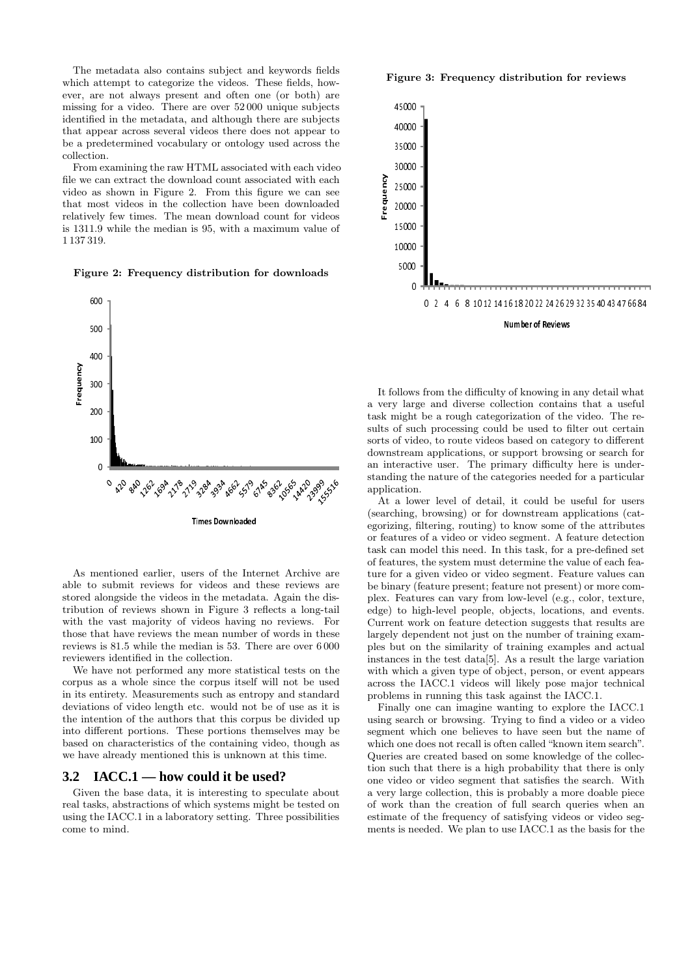The metadata also contains subject and keywords fields which attempt to categorize the videos. These fields, however, are not always present and often one (or both) are missing for a video. There are over 52 000 unique subjects identified in the metadata, and although there are subjects that appear across several videos there does not appear to be a predetermined vocabulary or ontology used across the collection.

From examining the raw HTML associated with each video file we can extract the download count associated with each video as shown in Figure 2. From this figure we can see that most videos in the collection have been downloaded relatively few times. The mean download count for videos is 1311.9 while the median is 95, with a maximum value of 1 137 319.

**Figure 2: Frequency distribution for downloads**



As mentioned earlier, users of the Internet Archive are able to submit reviews for videos and these reviews are stored alongside the videos in the metadata. Again the distribution of reviews shown in Figure 3 reflects a long-tail with the vast majority of videos having no reviews. For those that have reviews the mean number of words in these reviews is 81.5 while the median is 53. There are over 6 000 reviewers identified in the collection.

We have not performed any more statistical tests on the corpus as a whole since the corpus itself will not be used in its entirety. Measurements such as entropy and standard deviations of video length etc. would not be of use as it is the intention of the authors that this corpus be divided up into different portions. These portions themselves may be based on characteristics of the containing video, though as we have already mentioned this is unknown at this time.

#### **3.2 IACC.1 — how could it be used?**

Given the base data, it is interesting to speculate about real tasks, abstractions of which systems might be tested on using the IACC.1 in a laboratory setting. Three possibilities come to mind.

**Figure 3: Frequency distribution for reviews**



It follows from the difficulty of knowing in any detail what a very large and diverse collection contains that a useful task might be a rough categorization of the video. The results of such processing could be used to filter out certain sorts of video, to route videos based on category to different downstream applications, or support browsing or search for an interactive user. The primary difficulty here is understanding the nature of the categories needed for a particular application.

At a lower level of detail, it could be useful for users (searching, browsing) or for downstream applications (categorizing, filtering, routing) to know some of the attributes or features of a video or video segment. A feature detection task can model this need. In this task, for a pre-defined set of features, the system must determine the value of each feature for a given video or video segment. Feature values can be binary (feature present; feature not present) or more complex. Features can vary from low-level (e.g., color, texture, edge) to high-level people, objects, locations, and events. Current work on feature detection suggests that results are largely dependent not just on the number of training examples but on the similarity of training examples and actual instances in the test data[5]. As a result the large variation with which a given type of object, person, or event appears across the IACC.1 videos will likely pose major technical problems in running this task against the IACC.1.

Finally one can imagine wanting to explore the IACC.1 using search or browsing. Trying to find a video or a video segment which one believes to have seen but the name of which one does not recall is often called "known item search". Queries are created based on some knowledge of the collection such that there is a high probability that there is only one video or video segment that satisfies the search. With a very large collection, this is probably a more doable piece of work than the creation of full search queries when an estimate of the frequency of satisfying videos or video segments is needed. We plan to use IACC.1 as the basis for the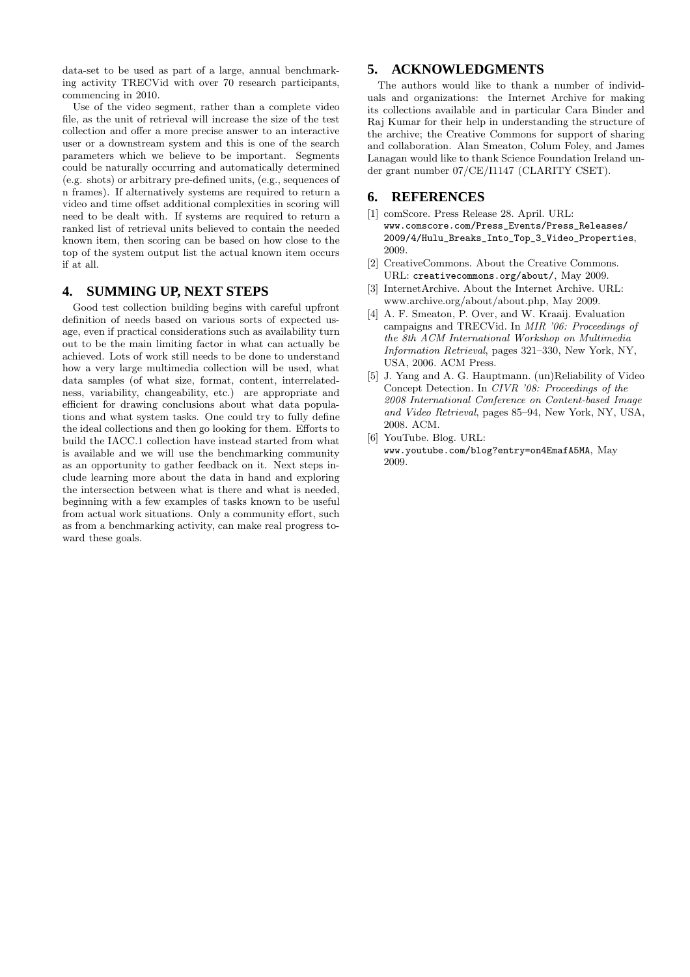data-set to be used as part of a large, annual benchmarking activity TRECVid with over 70 research participants, commencing in 2010.

Use of the video segment, rather than a complete video file, as the unit of retrieval will increase the size of the test collection and offer a more precise answer to an interactive user or a downstream system and this is one of the search parameters which we believe to be important. Segments could be naturally occurring and automatically determined (e.g. shots) or arbitrary pre-defined units, (e.g., sequences of n frames). If alternatively systems are required to return a video and time offset additional complexities in scoring will need to be dealt with. If systems are required to return a ranked list of retrieval units believed to contain the needed known item, then scoring can be based on how close to the top of the system output list the actual known item occurs if at all.

## **4. SUMMING UP, NEXT STEPS**

Good test collection building begins with careful upfront definition of needs based on various sorts of expected usage, even if practical considerations such as availability turn out to be the main limiting factor in what can actually be achieved. Lots of work still needs to be done to understand how a very large multimedia collection will be used, what data samples (of what size, format, content, interrelatedness, variability, changeability, etc.) are appropriate and efficient for drawing conclusions about what data populations and what system tasks. One could try to fully define the ideal collections and then go looking for them. Efforts to build the IACC.1 collection have instead started from what is available and we will use the benchmarking community as an opportunity to gather feedback on it. Next steps include learning more about the data in hand and exploring the intersection between what is there and what is needed, beginning with a few examples of tasks known to be useful from actual work situations. Only a community effort, such as from a benchmarking activity, can make real progress toward these goals.

# **5. ACKNOWLEDGMENTS**

The authors would like to thank a number of individuals and organizations: the Internet Archive for making its collections available and in particular Cara Binder and Raj Kumar for their help in understanding the structure of the archive; the Creative Commons for support of sharing and collaboration. Alan Smeaton, Colum Foley, and James Lanagan would like to thank Science Foundation Ireland under grant number 07/CE/I1147 (CLARITY CSET).

### **6. REFERENCES**

- [1] comScore. Press Release 28. April. URL: www.comscore.com/Press\_Events/Press\_Releases/ 2009/4/Hulu\_Breaks\_Into\_Top\_3\_Video\_Properties, 2009.
- [2] CreativeCommons. About the Creative Commons. URL: creativecommons.org/about/, May 2009.
- [3] InternetArchive. About the Internet Archive. URL: www.archive.org/about/about.php, May 2009.
- [4] A. F. Smeaton, P. Over, and W. Kraaij. Evaluation campaigns and TRECVid. In MIR '06: Proceedings of the 8th ACM International Workshop on Multimedia Information Retrieval, pages 321–330, New York, NY, USA, 2006. ACM Press.
- [5] J. Yang and A. G. Hauptmann. (un)Reliability of Video Concept Detection. In CIVR '08: Proceedings of the 2008 International Conference on Content-based Image and Video Retrieval, pages 85–94, New York, NY, USA, 2008. ACM.
- [6] YouTube. Blog. URL: www.youtube.com/blog?entry=on4EmafA5MA, May 2009.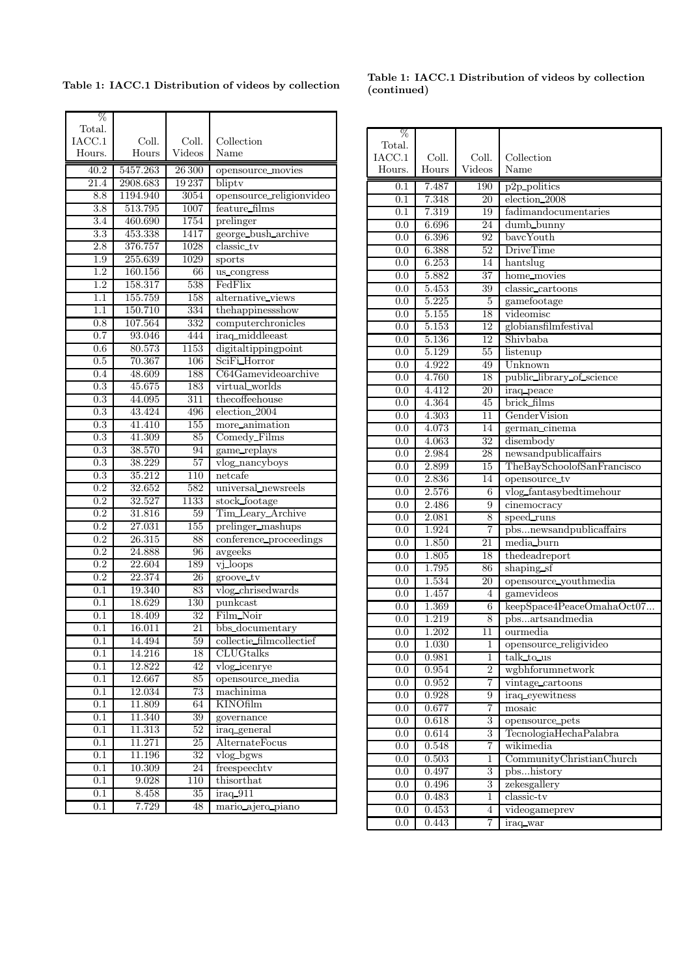**Table 1: IACC.1 Distribution of videos by collection**

| $\%$                                 |                      |                 |                                           |
|--------------------------------------|----------------------|-----------------|-------------------------------------------|
| Total.<br>IACC.1                     | Coll.                | Coll.           | Collection                                |
| Hours.                               | Hours                | Videos          | Name                                      |
|                                      |                      |                 |                                           |
| 40.2                                 | 5457.263             | 26 300          | opensource_movies                         |
| 21.4                                 | 2908.683<br>1194.940 | 19237           | blipty                                    |
| 8.8<br>$\overline{3.8}$              | 513.795              | 3054<br>1007    | opensource_religionvideo<br>feature_films |
| 3.4                                  | 460.690              | 1754            | prelinger                                 |
| $\overline{3.3}$                     | 453.338              | 1417            | george_bush_archive                       |
| 2.8                                  | 376.757              | 1028            | classic_tv                                |
| 1.9                                  | 255.639              | 1029            | sports                                    |
| $\overline{1.2}$                     | 160.156              | 66              | us_congress                               |
| $\overline{1.2}$                     | 158.317              | 538             | FedFlix                                   |
| $1.1\,$                              | 155.759              | 158             | alternative_views                         |
| 1.1                                  | 150.710              | 334             | thehappinessshow                          |
| $\overline{0.8}$                     | 107.564              | 332             | computerchronicles                        |
| $\overline{0.7}$                     | 93.046               | 444             | iraq_middleeast                           |
| 0.6                                  | 80.573               | 1153            | digitaltippingpoint                       |
| $\overline{0.5}$                     | 70.367               | 106             | <b>SciFi_Horror</b>                       |
| 0.4                                  | 48.609               | 188             | C64Gamevideoarchive                       |
| $\overline{0.3}$                     | 45.675               | 183             | virtual_worlds                            |
| 0.3                                  | 44.095               | 311             | thecoffeehouse                            |
| $\overline{0.3}$                     | 43.424               | 496             | election_2004                             |
| $\overline{0.3}$                     | 41.410               | 155             | more animation                            |
| $\overline{0.3}$                     | 41.309               | 85              | Comedy_Films                              |
| 0.3                                  | 38.570               | 94              | game_replays                              |
| $\overline{0.3}$                     | 38.229               | 57              | vlog_nancyboys                            |
| 0.3                                  | 35.212               | 110             | netcafe                                   |
| $\overline{0.2}$<br>$\overline{0.2}$ | 32.652               | 582             | universal_newsreels                       |
| 0.2                                  | 32.527<br>31.816     | 1133<br>59      | stock_footage<br>Tim_Leary_Archive        |
| 0.2                                  | 27.031               | 155             | prelinger_mashups                         |
| 0.2                                  | 26.315               | 88              | conference_proceedings                    |
| $\overline{0.2}$                     | 24.888               | 96              | avgeeks                                   |
| $\overline{0.2}$                     | 22.604               | 189             | vj_loops                                  |
| $\overline{0.2}$                     | 22.374               | 26              | groove_tv                                 |
| 0.1                                  | 19.340               | 83              | vlog_chrisedwards                         |
| $\overline{0.1}$                     | 18.629               | 130             | punkcast                                  |
| $\overline{0.1}$                     | 18.409               | 32              | Film_Noir                                 |
| 0.1                                  | 16.011               | 21              | bbs_documentary                           |
| $\overline{0.1}$                     | 14.494               | 59              | collectie_filmcollectief                  |
| 0.1                                  | 14.216               | 18              | CLUGtalks                                 |
| 0.1                                  | 12.822               | 42              | vlog_icenrye                              |
| 0.1                                  | 12.667               | 85              | opensource_media                          |
| 0.1                                  | 12.034               | 73              | machinima                                 |
| 0.1                                  | 11.809               | 64              | KINOfilm                                  |
| 0.1                                  | 11.340               | 39              | governance                                |
| 0.1                                  | 11.313               | 52              | iraq_general                              |
| 0.1                                  | 11.271               | 25              | AlternateFocus                            |
| 0.1                                  | 11.196               | $\overline{32}$ | vlog_bgws                                 |
| 0.1                                  | 10.309               | 24              | freespeechtv                              |
| 0.1                                  | 9.028                | 110             | thisorthat                                |
| 0.1                                  | 8.458                | 35              | $iraq_911$                                |
| 0.1                                  | 7.729                | 48              | mario_ajero_piano                         |

### **Table 1: IACC.1 Distribution of videos by collection (continued)**

| $\%$                    |                |                                  |                                           |
|-------------------------|----------------|----------------------------------|-------------------------------------------|
| Total.                  |                |                                  |                                           |
| IACC.1                  | Coll.          | Coll.                            | Collection                                |
| Hours.                  | Hours          | Videos                           | Name                                      |
| $0.1\,$                 | 7.487          | 190                              | p2p_politics                              |
| 0.1                     | 7.348          | 20                               | election_2008                             |
| $\overline{0.1}$        | 7.319          | 19                               | fadimandocumentaries                      |
| 0.0                     | 6.696          | 24                               | dumb_bunny                                |
| $\overline{0.0}$        | 6.396          | 92                               | bavcYouth                                 |
| 0.0                     | 6.388          | 52                               | <b>DriveTime</b>                          |
| 0.0                     | 6.253          | 14                               | hantslug                                  |
| 0.0                     | 5.882          | $\overline{37}$                  | home_movies                               |
| 0.0                     | 5.453          | 39                               | classic_cartoons                          |
| 0.0                     | 5.225          | 5                                | gamefootage                               |
| 0.0                     | 5.155          | 18                               | videomisc                                 |
| 0.0                     | 5.153          | 12                               | globiansfilmfestival                      |
| 0.0                     | 5.136          | 12                               | Shivbaba                                  |
| 0.0                     | 5.129          | 55                               | listenup                                  |
| 0.0                     | 4.922          | 49                               | Unknown                                   |
| $\overline{0.0}$        | 4.760          | 18                               | public_library_of_science                 |
| $\overline{0.0}$        | 4.412          | 20                               | iraq_peace                                |
| 0.0                     | 4.364          | 45                               | brick films                               |
| $\overline{0.0}$        | 4.303          | 11                               | GenderVision                              |
| $\overline{0.0}$        | 4.073          | 14                               | german_cinema                             |
| 0.0                     | 4.063          | $\overline{32}$                  | disembody                                 |
| 0.0                     | 2.984          | 28                               | newsandpublicaffairs                      |
| 0.0                     | 2.899          | 15                               | TheBaySchoolofSanFrancisco                |
| 0.0                     | 2.836          | 14                               | opensource_tv                             |
| 0.0                     | 2.576          | 6                                | vlog_fantasybedtimehour                   |
| 0.0                     | 2.486          | 9                                | cinemocracy                               |
| 0.0                     | 2.081          | 8                                | speed_runs                                |
| 0.0                     | 1.924          | 7                                | pbsnewsandpublicaffairs                   |
| 0.0                     | 1.850          | 21                               | media_burn                                |
| 0.0                     | 1.805          | 18                               | thedeadreport                             |
| 0.0                     | 1.795          | 86                               | shaping sf                                |
| 0.0                     | 1.534          | $\overline{20}$                  | opensource_youthmedia                     |
| $\overline{0.0}$        | 1.457          | 4                                | gamevideos                                |
| 0.0                     | 1.369          | 6                                | keepSpace4PeaceOmahaOct07                 |
| 0.0                     | 1.219          | 8                                | pbsartsandmedia                           |
| 0.0                     | 1.202          | 11                               | ourmedia                                  |
| 0.0                     | 1.030          | 1                                | opensource_religivideo                    |
| 0.0                     | 0.981          | 1                                | talk_to_us                                |
| 0.0                     | 0.954          | $\overline{2}$                   | wgbhforumnetwork                          |
| 0.0                     | 0.952          | 7                                | vintage_cartoons                          |
| 0.0                     | 0.928          | 9                                | iraq_eyewitness                           |
|                         |                | 7                                | mosaic                                    |
| 0.0                     | 0.677          |                                  |                                           |
| 0.0<br>$\overline{0.0}$ | 0.618<br>0.614 | $\overline{3}$<br>$\overline{3}$ | opensource_pets<br>TecnologiaHechaPalabra |
| $\overline{0.0}$        | 0.548          | 7                                | wikimedia                                 |
|                         |                |                                  |                                           |
| 0.0                     | 0.503          | 1                                | CommunityChristianChurch                  |
| 0.0                     | 0.497          | 3                                | pbshistory                                |
| 0.0                     | 0.496          | 3                                | zekesgallery                              |
| 0.0                     | 0.483          | 1                                | classic-tv                                |
| 0.0                     | 0.453          | $\overline{4}$                   | videogameprev                             |
| 0.0                     | 0.443          | 7                                | iraq_war                                  |